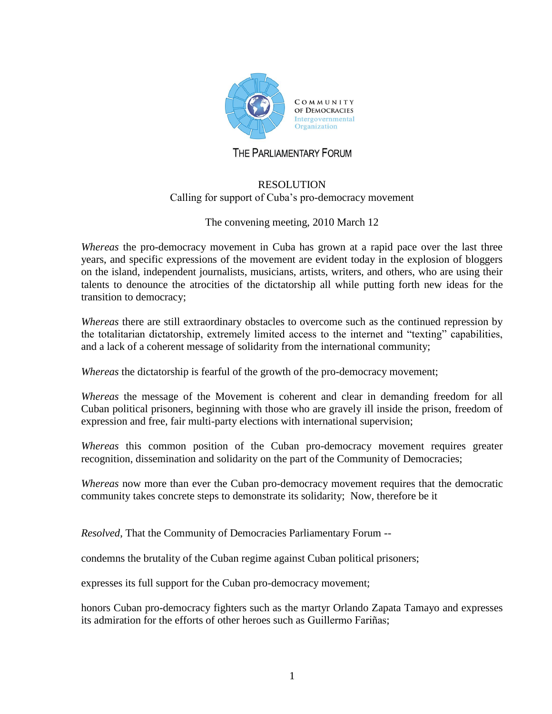

## THE PARLIAMENTARY FORUM

## RESOLUTION Calling for support of Cuba's pro-democracy movement

## The convening meeting, 2010 March 12

*Whereas* the pro-democracy movement in Cuba has grown at a rapid pace over the last three years, and specific expressions of the movement are evident today in the explosion of bloggers on the island, independent journalists, musicians, artists, writers, and others, who are using their talents to denounce the atrocities of the dictatorship all while putting forth new ideas for the transition to democracy;

*Whereas* there are still extraordinary obstacles to overcome such as the continued repression by the totalitarian dictatorship, extremely limited access to the internet and "texting" capabilities, and a lack of a coherent message of solidarity from the international community;

*Whereas* the dictatorship is fearful of the growth of the pro-democracy movement;

*Whereas* the message of the Movement is coherent and clear in demanding freedom for all Cuban political prisoners, beginning with those who are gravely ill inside the prison, freedom of expression and free, fair multi-party elections with international supervision;

*Whereas* this common position of the Cuban pro-democracy movement requires greater recognition, dissemination and solidarity on the part of the Community of Democracies;

*Whereas* now more than ever the Cuban pro-democracy movement requires that the democratic community takes concrete steps to demonstrate its solidarity; Now, therefore be it

*Resolved*, That the Community of Democracies Parliamentary Forum --

condemns the brutality of the Cuban regime against Cuban political prisoners;

expresses its full support for the Cuban pro-democracy movement;

honors Cuban pro-democracy fighters such as the martyr Orlando Zapata Tamayo and expresses its admiration for the efforts of other heroes such as Guillermo Fariñas;